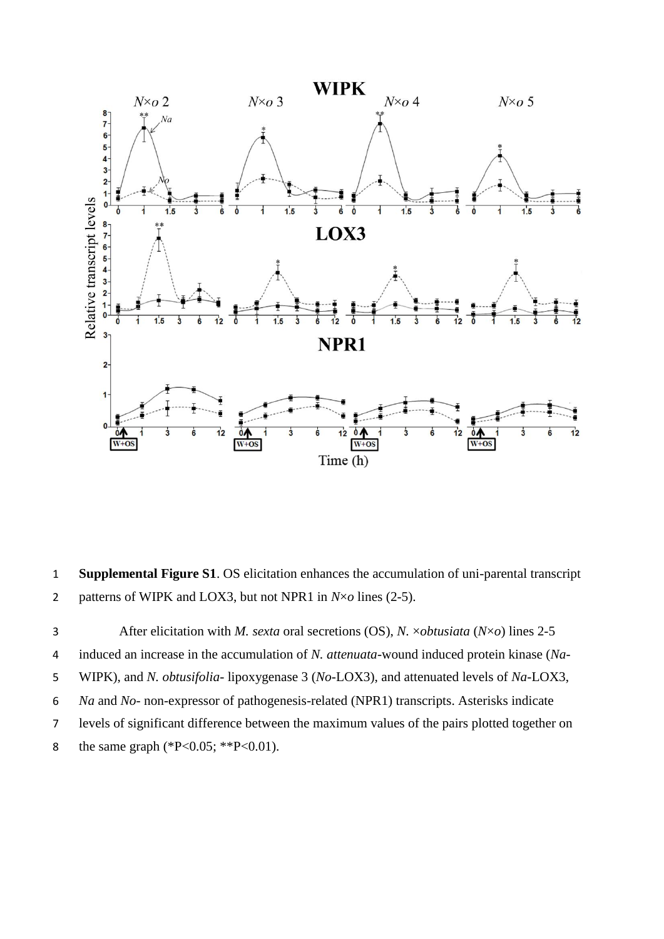

 **Supplemental Figure S1**. OS elicitation enhances the accumulation of uni-parental transcript patterns of WIPK and LOX3, but not NPR1 in *N*×*o* lines (2-5).

 After elicitation with *M. sexta* oral secretions (OS), *N.* ×*obtusiata* (*N*×*o*) lines 2-5 induced an increase in the accumulation of *N. attenuata*-wound induced protein kinase (*Na*- WIPK), and *N. obtusifolia*- lipoxygenase 3 (*No*-LOX3), and attenuated levels of *Na*-LOX3, *Na* and *No*- non-expressor of pathogenesis-related (NPR1) transcripts. Asterisks indicate levels of significant difference between the maximum values of the pairs plotted together on 8 the same graph (\*P<0.05; \*\*P<0.01).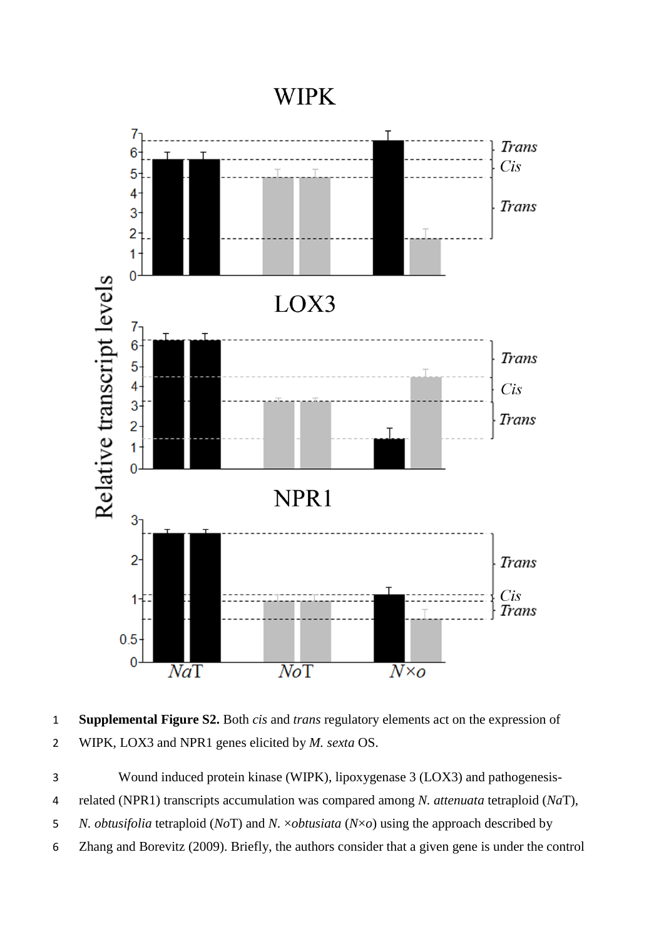## **WIPK**



 **Supplemental Figure S2.** Both *cis* and *trans* regulatory elements act on the expression of WIPK, LOX3 and NPR1 genes elicited by *M. sexta* OS.

Wound induced protein kinase (WIPK), lipoxygenase 3 (LOX3) and pathogenesis-

related (NPR1) transcripts accumulation was compared among *N. attenuata* tetraploid (*Na*T),

*N. obtusifolia* tetraploid (*No*T) and *N.* ×*obtusiata* (*N*×*o*) using the approach described by

Zhang and Borevitz (2009). Briefly, the authors consider that a given gene is under the control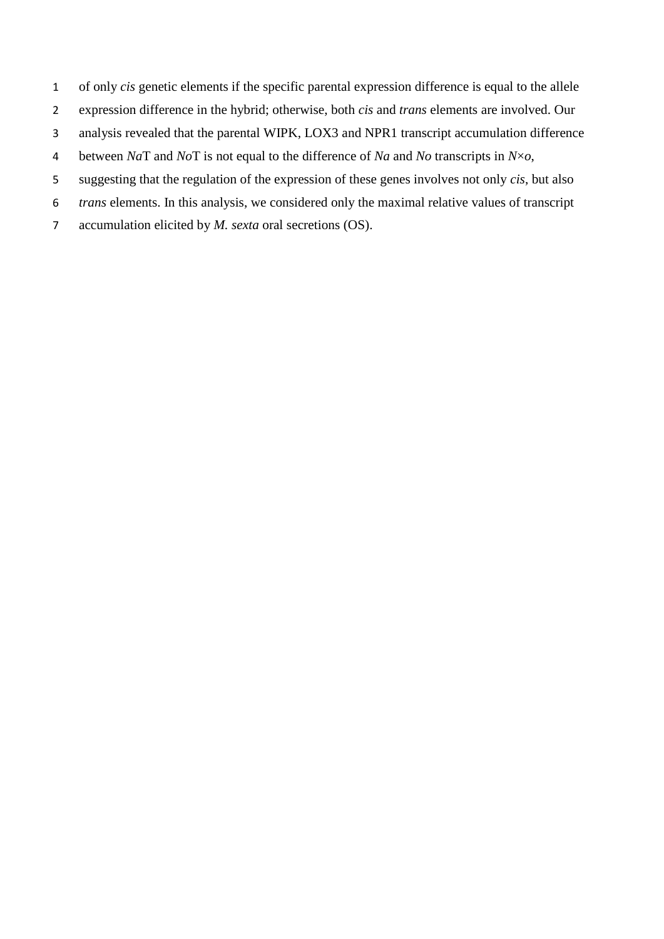- of only *cis* genetic elements if the specific parental expression difference is equal to the allele
- expression difference in the hybrid; otherwise, both *cis* and *trans* elements are involved. Our
- analysis revealed that the parental WIPK, LOX3 and NPR1 transcript accumulation difference
- between *Na*T and *No*T is not equal to the difference of *Na* and *No* transcripts in *N*×*o*,
- suggesting that the regulation of the expression of these genes involves not only *cis*, but also
- *trans* elements. In this analysis, we considered only the maximal relative values of transcript
- accumulation elicited by *M. sexta* oral secretions (OS).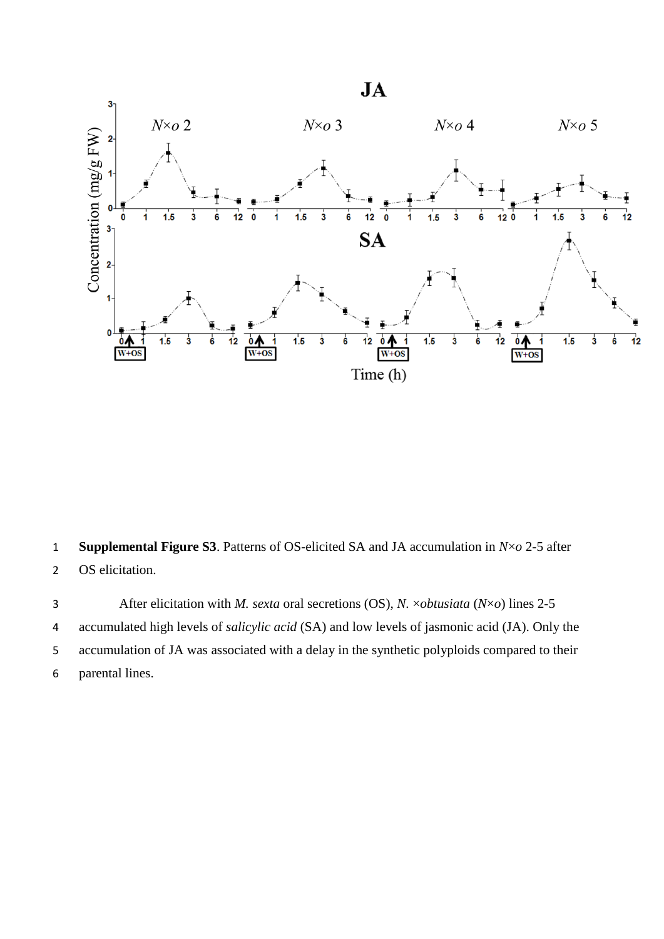

**Supplemental Figure S3**. Patterns of OS-elicited SA and JA accumulation in *N*×*o* 2-5 after

OS elicitation.

 After elicitation with *M. sexta* oral secretions (OS), *N.* ×*obtusiata* (*N*×*o*) lines 2-5 accumulated high levels of *salicylic acid* (SA) and low levels of jasmonic acid (JA). Only the accumulation of JA was associated with a delay in the synthetic polyploids compared to their parental lines.

 $JA$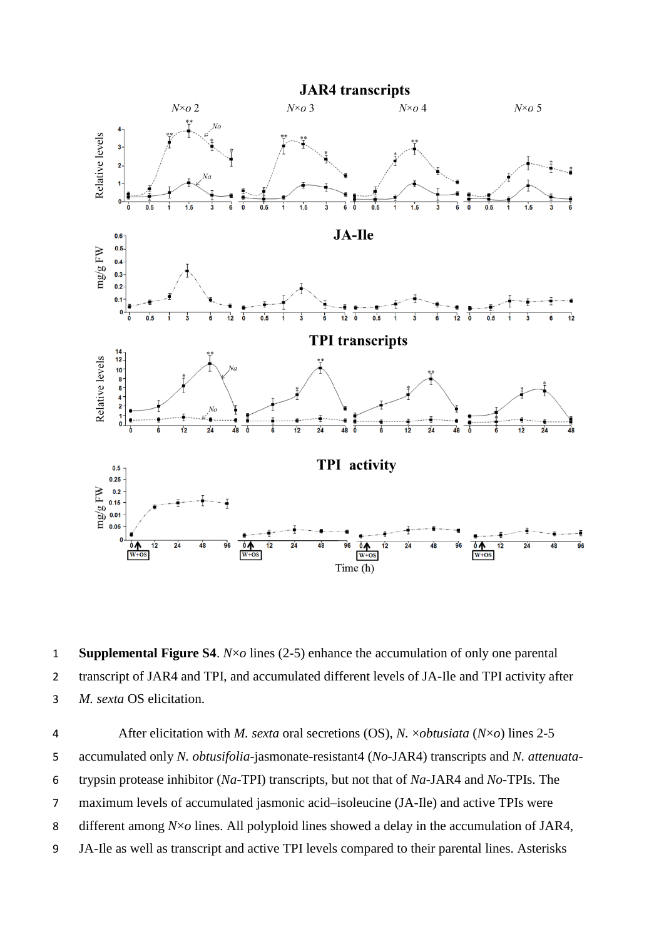

 **Supplemental Figure S4**. *N*×*o* lines (2-5) enhance the accumulation of only one parental transcript of JAR4 and TPI, and accumulated different levels of JA-Ile and TPI activity after *M. sexta* OS elicitation.

 After elicitation with *M. sexta* oral secretions (OS), *N.* ×*obtusiata* (*N*×*o*) lines 2-5 accumulated only *N. obtusifolia*-jasmonate-resistant4 (*No*-JAR4) transcripts and *N. attenuata*- trypsin protease inhibitor (*Na*-TPI) transcripts, but not that of *Na*-JAR4 and *No*-TPIs. The maximum levels of accumulated jasmonic acid–isoleucine (JA-Ile) and active TPIs were different among *N*×*o* lines. All polyploid lines showed a delay in the accumulation of JAR4, JA-Ile as well as transcript and active TPI levels compared to their parental lines. Asterisks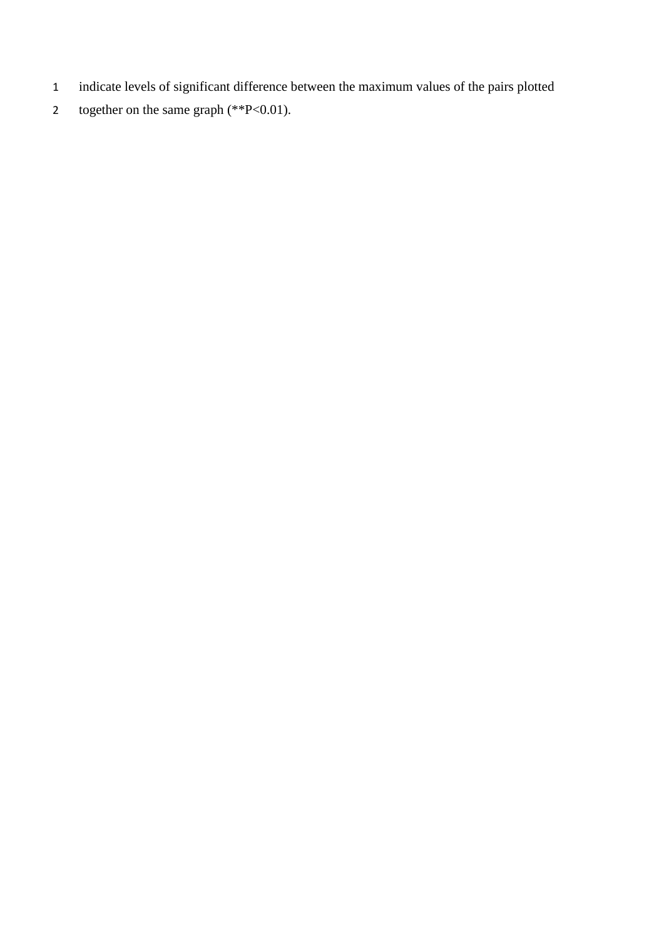- 1 indicate levels of significant difference between the maximum values of the pairs plotted
- 2 together on the same graph  $(*P<0.01)$ .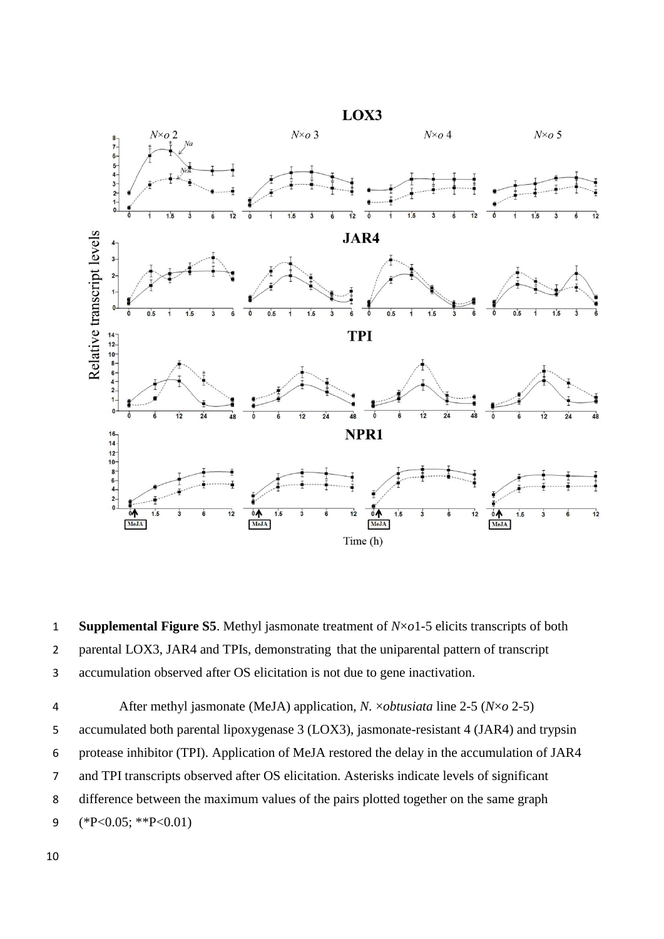

 **Supplemental Figure S5**. Methyl jasmonate treatment of *N*×*o*1-5 elicits transcripts of both parental LOX3, JAR4 and TPIs, demonstrating that the uniparental pattern of transcript accumulation observed after OS elicitation is not due to gene inactivation.

 After methyl jasmonate (MeJA) application, *N.* ×*obtusiata* line 2-5 (*N*×*o* 2-5) accumulated both parental lipoxygenase 3 (LOX3), jasmonate-resistant 4 (JAR4) and trypsin protease inhibitor (TPI). Application of MeJA restored the delay in the accumulation of JAR4 and TPI transcripts observed after OS elicitation. Asterisks indicate levels of significant difference between the maximum values of the pairs plotted together on the same graph (\*P<0.05; \*\*P<0.01)